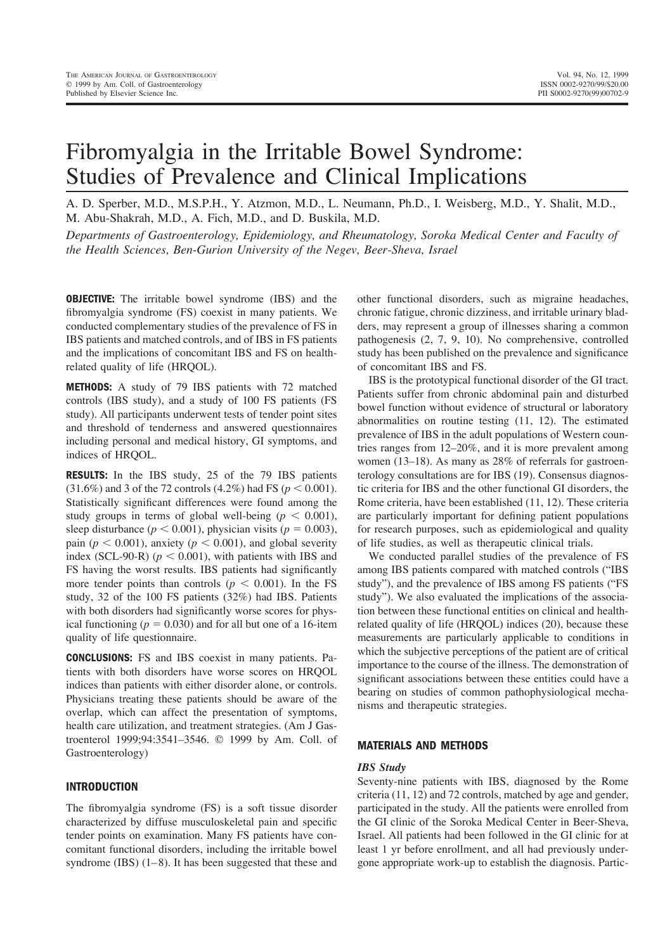# Fibromyalgia in the Irritable Bowel Syndrome: Studies of Prevalence and Clinical Implications

A. D. Sperber, M.D., M.S.P.H., Y. Atzmon, M.D., L. Neumann, Ph.D., I. Weisberg, M.D., Y. Shalit, M.D., M. Abu-Shakrah, M.D., A. Fich, M.D., and D. Buskila, M.D.

*Departments of Gastroenterology, Epidemiology, and Rheumatology, Soroka Medical Center and Faculty of the Health Sciences, Ben-Gurion University of the Negev, Beer-Sheva, Israel*

OBJECTIVE: The irritable bowel syndrome (IBS) and the fibromyalgia syndrome (FS) coexist in many patients. We conducted complementary studies of the prevalence of FS in IBS patients and matched controls, and of IBS in FS patients and the implications of concomitant IBS and FS on healthrelated quality of life (HRQOL).

METHODS: A study of 79 IBS patients with 72 matched controls (IBS study), and a study of 100 FS patients (FS study). All participants underwent tests of tender point sites and threshold of tenderness and answered questionnaires including personal and medical history, GI symptoms, and indices of HRQOL.

RESULTS: In the IBS study, 25 of the 79 IBS patients  $(31.6\%)$  and 3 of the 72 controls  $(4.2\%)$  had FS  $(p < 0.001)$ . Statistically significant differences were found among the study groups in terms of global well-being ( $p < 0.001$ ), sleep disturbance ( $p < 0.001$ ), physician visits ( $p = 0.003$ ), pain ( $p < 0.001$ ), anxiety ( $p < 0.001$ ), and global severity index (SCL-90-R) ( $p < 0.001$ ), with patients with IBS and FS having the worst results. IBS patients had significantly more tender points than controls ( $p < 0.001$ ). In the FS study, 32 of the 100 FS patients (32%) had IBS. Patients with both disorders had significantly worse scores for physical functioning ( $p = 0.030$ ) and for all but one of a 16-item quality of life questionnaire.

CONCLUSIONS: FS and IBS coexist in many patients. Patients with both disorders have worse scores on HRQOL indices than patients with either disorder alone, or controls. Physicians treating these patients should be aware of the overlap, which can affect the presentation of symptoms, health care utilization, and treatment strategies. (Am J Gastroenterol 1999;94:3541–3546. © 1999 by Am. Coll. of Gastroenterology)

## INTRODUCTION

The fibromyalgia syndrome (FS) is a soft tissue disorder characterized by diffuse musculoskeletal pain and specific tender points on examination. Many FS patients have concomitant functional disorders, including the irritable bowel syndrome (IBS) (1–8). It has been suggested that these and other functional disorders, such as migraine headaches, chronic fatigue, chronic dizziness, and irritable urinary bladders, may represent a group of illnesses sharing a common pathogenesis (2, 7, 9, 10). No comprehensive, controlled study has been published on the prevalence and significance of concomitant IBS and FS.

IBS is the prototypical functional disorder of the GI tract. Patients suffer from chronic abdominal pain and disturbed bowel function without evidence of structural or laboratory abnormalities on routine testing (11, 12). The estimated prevalence of IBS in the adult populations of Western countries ranges from 12–20%, and it is more prevalent among women (13–18). As many as 28% of referrals for gastroenterology consultations are for IBS (19). Consensus diagnostic criteria for IBS and the other functional GI disorders, the Rome criteria, have been established (11, 12). These criteria are particularly important for defining patient populations for research purposes, such as epidemiological and quality of life studies, as well as therapeutic clinical trials.

We conducted parallel studies of the prevalence of FS among IBS patients compared with matched controls ("IBS study"), and the prevalence of IBS among FS patients ("FS study"). We also evaluated the implications of the association between these functional entities on clinical and healthrelated quality of life (HRQOL) indices (20), because these measurements are particularly applicable to conditions in which the subjective perceptions of the patient are of critical importance to the course of the illness. The demonstration of significant associations between these entities could have a bearing on studies of common pathophysiological mechanisms and therapeutic strategies.

#### MATERIALS AND METHODS

#### *IBS Study*

Seventy-nine patients with IBS, diagnosed by the Rome criteria (11, 12) and 72 controls, matched by age and gender, participated in the study. All the patients were enrolled from the GI clinic of the Soroka Medical Center in Beer-Sheva, Israel. All patients had been followed in the GI clinic for at least 1 yr before enrollment, and all had previously undergone appropriate work-up to establish the diagnosis. Partic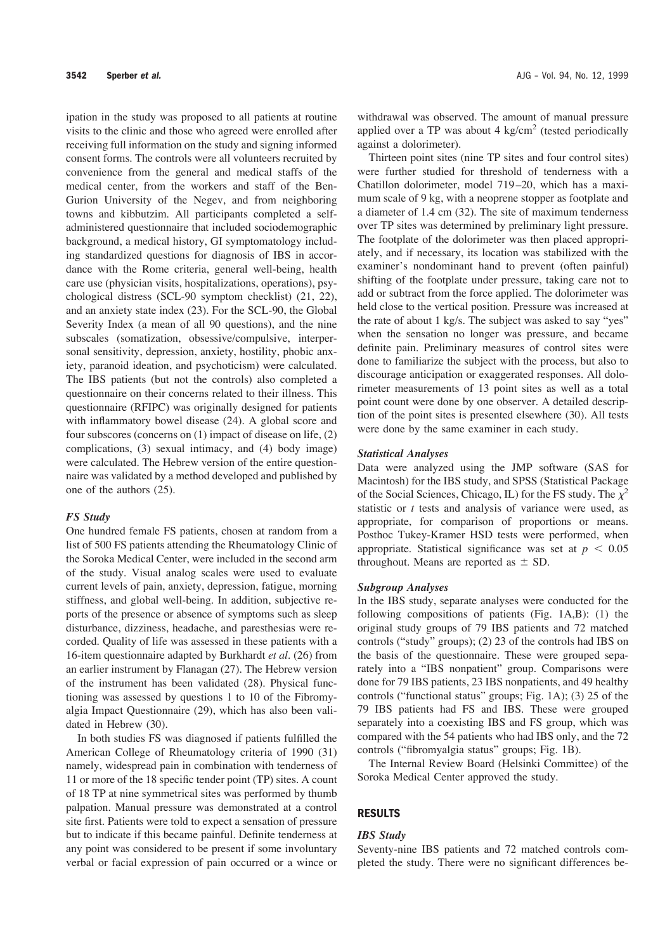ipation in the study was proposed to all patients at routine visits to the clinic and those who agreed were enrolled after receiving full information on the study and signing informed consent forms. The controls were all volunteers recruited by convenience from the general and medical staffs of the medical center, from the workers and staff of the Ben-Gurion University of the Negev, and from neighboring towns and kibbutzim. All participants completed a selfadministered questionnaire that included sociodemographic background, a medical history, GI symptomatology including standardized questions for diagnosis of IBS in accordance with the Rome criteria, general well-being, health care use (physician visits, hospitalizations, operations), psychological distress (SCL-90 symptom checklist) (21, 22), and an anxiety state index (23). For the SCL-90, the Global Severity Index (a mean of all 90 questions), and the nine subscales (somatization, obsessive/compulsive, interpersonal sensitivity, depression, anxiety, hostility, phobic anxiety, paranoid ideation, and psychoticism) were calculated. The IBS patients (but not the controls) also completed a questionnaire on their concerns related to their illness. This questionnaire (RFIPC) was originally designed for patients with inflammatory bowel disease (24). A global score and four subscores (concerns on (1) impact of disease on life, (2) complications, (3) sexual intimacy, and (4) body image) were calculated. The Hebrew version of the entire questionnaire was validated by a method developed and published by one of the authors (25).

#### *FS Study*

One hundred female FS patients, chosen at random from a list of 500 FS patients attending the Rheumatology Clinic of the Soroka Medical Center, were included in the second arm of the study. Visual analog scales were used to evaluate current levels of pain, anxiety, depression, fatigue, morning stiffness, and global well-being. In addition, subjective reports of the presence or absence of symptoms such as sleep disturbance, dizziness, headache, and paresthesias were recorded. Quality of life was assessed in these patients with a 16-item questionnaire adapted by Burkhardt *et al.* (26) from an earlier instrument by Flanagan (27). The Hebrew version of the instrument has been validated (28). Physical functioning was assessed by questions 1 to 10 of the Fibromyalgia Impact Questionnaire (29), which has also been validated in Hebrew (30).

In both studies FS was diagnosed if patients fulfilled the American College of Rheumatology criteria of 1990 (31) namely, widespread pain in combination with tenderness of 11 or more of the 18 specific tender point (TP) sites. A count of 18 TP at nine symmetrical sites was performed by thumb palpation. Manual pressure was demonstrated at a control site first. Patients were told to expect a sensation of pressure but to indicate if this became painful. Definite tenderness at any point was considered to be present if some involuntary verbal or facial expression of pain occurred or a wince or

withdrawal was observed. The amount of manual pressure applied over a TP was about  $4 \text{ kg/cm}^2$  (tested periodically against a dolorimeter).

Thirteen point sites (nine TP sites and four control sites) were further studied for threshold of tenderness with a Chatillon dolorimeter, model 719–20, which has a maximum scale of 9 kg, with a neoprene stopper as footplate and a diameter of 1.4 cm (32). The site of maximum tenderness over TP sites was determined by preliminary light pressure. The footplate of the dolorimeter was then placed appropriately, and if necessary, its location was stabilized with the examiner's nondominant hand to prevent (often painful) shifting of the footplate under pressure, taking care not to add or subtract from the force applied. The dolorimeter was held close to the vertical position. Pressure was increased at the rate of about 1 kg/s. The subject was asked to say "yes" when the sensation no longer was pressure, and became definite pain. Preliminary measures of control sites were done to familiarize the subject with the process, but also to discourage anticipation or exaggerated responses. All dolorimeter measurements of 13 point sites as well as a total point count were done by one observer. A detailed description of the point sites is presented elsewhere (30). All tests were done by the same examiner in each study.

#### *Statistical Analyses*

Data were analyzed using the JMP software (SAS for Macintosh) for the IBS study, and SPSS (Statistical Package of the Social Sciences, Chicago, IL) for the FS study. The  $\chi^2$ statistic or *t* tests and analysis of variance were used, as appropriate, for comparison of proportions or means. Posthoc Tukey-Kramer HSD tests were performed, when appropriate. Statistical significance was set at  $p < 0.05$ throughout. Means are reported as  $\pm$  SD.

#### *Subgroup Analyses*

In the IBS study, separate analyses were conducted for the following compositions of patients (Fig. 1A,B): (1) the original study groups of 79 IBS patients and 72 matched controls ("study" groups); (2) 23 of the controls had IBS on the basis of the questionnaire. These were grouped separately into a "IBS nonpatient" group. Comparisons were done for 79 IBS patients, 23 IBS nonpatients, and 49 healthy controls ("functional status" groups; Fig. 1A); (3) 25 of the 79 IBS patients had FS and IBS. These were grouped separately into a coexisting IBS and FS group, which was compared with the 54 patients who had IBS only, and the 72 controls ("fibromyalgia status" groups; Fig. 1B).

The Internal Review Board (Helsinki Committee) of the Soroka Medical Center approved the study.

#### RESULTS

#### *IBS Study*

Seventy-nine IBS patients and 72 matched controls completed the study. There were no significant differences be-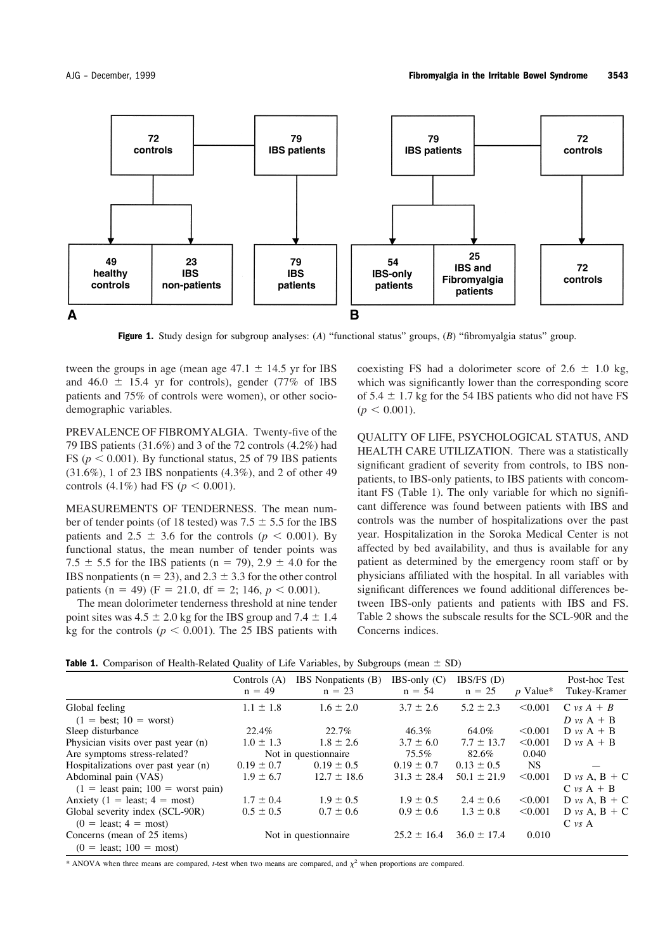

Figure 1. Study design for subgroup analyses: (*A*) "functional status" groups, (*B*) "fibromyalgia status" group.

tween the groups in age (mean age  $47.1 \pm 14.5$  yr for IBS and 46.0  $\pm$  15.4 yr for controls), gender (77% of IBS patients and 75% of controls were women), or other sociodemographic variables.

PREVALENCE OF FIBROMYALGIA. Twenty-five of the 79 IBS patients (31.6%) and 3 of the 72 controls (4.2%) had FS ( $p < 0.001$ ). By functional status, 25 of 79 IBS patients (31.6%), 1 of 23 IBS nonpatients (4.3%), and 2 of other 49 controls  $(4.1\%)$  had FS ( $p < 0.001$ ).

MEASUREMENTS OF TENDERNESS. The mean number of tender points (of 18 tested) was  $7.5 \pm 5.5$  for the IBS patients and 2.5  $\pm$  3.6 for the controls ( $p$  < 0.001). By functional status, the mean number of tender points was 7.5  $\pm$  5.5 for the IBS patients (n = 79), 2.9  $\pm$  4.0 for the IBS nonpatients ( $n = 23$ ), and  $2.3 \pm 3.3$  for the other control patients ( $n = 49$ ) ( $F = 21.0$ , df = 2; 146,  $p < 0.001$ ).

The mean dolorimeter tenderness threshold at nine tender point sites was  $4.5 \pm 2.0$  kg for the IBS group and  $7.4 \pm 1.4$ kg for the controls ( $p < 0.001$ ). The 25 IBS patients with

coexisting FS had a dolorimeter score of 2.6  $\pm$  1.0 kg, which was significantly lower than the corresponding score of  $5.4 \pm 1.7$  kg for the 54 IBS patients who did not have FS  $(p < 0.001)$ .

QUALITY OF LIFE, PSYCHOLOGICAL STATUS, AND HEALTH CARE UTILIZATION. There was a statistically significant gradient of severity from controls, to IBS nonpatients, to IBS-only patients, to IBS patients with concomitant FS (Table 1). The only variable for which no significant difference was found between patients with IBS and controls was the number of hospitalizations over the past year. Hospitalization in the Soroka Medical Center is not affected by bed availability, and thus is available for any patient as determined by the emergency room staff or by physicians affiliated with the hospital. In all variables with significant differences we found additional differences between IBS-only patients and patients with IBS and FS. Table 2 shows the subscale results for the SCL-90R and the Concerns indices.

|  |  | <b>Table 1.</b> Comparison of Health-Related Quality of Life Variables, by Subgroups (mean $\pm$ SD) |  |  |  |  |  |
|--|--|------------------------------------------------------------------------------------------------------|--|--|--|--|--|
|--|--|------------------------------------------------------------------------------------------------------|--|--|--|--|--|

|                                         | Controls $(A)$<br>$n = 49$ | IBS Nonpatients (B)<br>$n = 23$ | $IBS-only (C)$<br>$n = 54$ | $IBS/FS$ (D)<br>$n = 25$ | $p$ Value* | Post-hoc Test<br>Tukey-Kramer |
|-----------------------------------------|----------------------------|---------------------------------|----------------------------|--------------------------|------------|-------------------------------|
| Global feeling                          | $1.1 \pm 1.8$              | $1.6 \pm 2.0$                   | $3.7 \pm 2.6$              | $5.2 \pm 2.3$            | < 0.001    | $C$ vs $A + B$                |
| $(1 = best; 10 = worst)$                |                            |                                 |                            |                          |            | D vs $A + B$                  |
| Sleep disturbance                       | 22.4%                      | $22.7\%$                        | 46.3%                      | 64.0%                    | < 0.001    | $D vs A + B$                  |
| Physician visits over past year (n)     | $1.0 \pm 1.3$              | $1.8 \pm 2.6$                   | $3.7 \pm 6.0$              | $7.7 \pm 13.7$           | < 0.001    | $D vs A + B$                  |
| Are symptoms stress-related?            |                            | Not in questionnaire            | 75.5%                      | 82.6%                    | 0.040      |                               |
| Hospitalizations over past year (n)     | $0.19 \pm 0.7$             | $0.19 \pm 0.5$                  | $0.19 \pm 0.7$             | $0.13 \pm 0.5$           | NS.        |                               |
| Abdominal pain (VAS)                    | $1.9 \pm 6.7$              | $12.7 \pm 18.6$                 | $31.3 \pm 28.4$            | $50.1 \pm 21.9$          | < 0.001    | D vs A, $B + C$               |
| $(1 =$ least pain; $100 =$ worst pain)  |                            |                                 |                            |                          |            | $C$ vs $A + B$                |
| Anxiety (1 = least; $4 = \text{most}$ ) | $1.7 \pm 0.4$              | $1.9 \pm 0.5$                   | $1.9 \pm 0.5$              | $2.4 \pm 0.6$            | < 0.001    | D vs A, $B + C$               |
| Global severity index (SCL-90R)         | $0.5 \pm 0.5$              | $0.7 \pm 0.6$                   | $0.9 \pm 0.6$              | $1.3 \pm 0.8$            | < 0.001    | D vs A, $B + C$               |
| $(0 =$ least: $4 =$ most)               |                            |                                 |                            |                          |            | $C$ vs A                      |
| Concerns (mean of 25 items)             |                            | Not in questionnaire            | $25.2 \pm 16.4$            | $36.0 \pm 17.4$          | 0.010      |                               |
| $(0 =$ least; $100 =$ most)             |                            |                                 |                            |                          |            |                               |

\* ANOVA when three means are compared, *t*-test when two means are compared, and  $\chi^2$  when proportions are compared.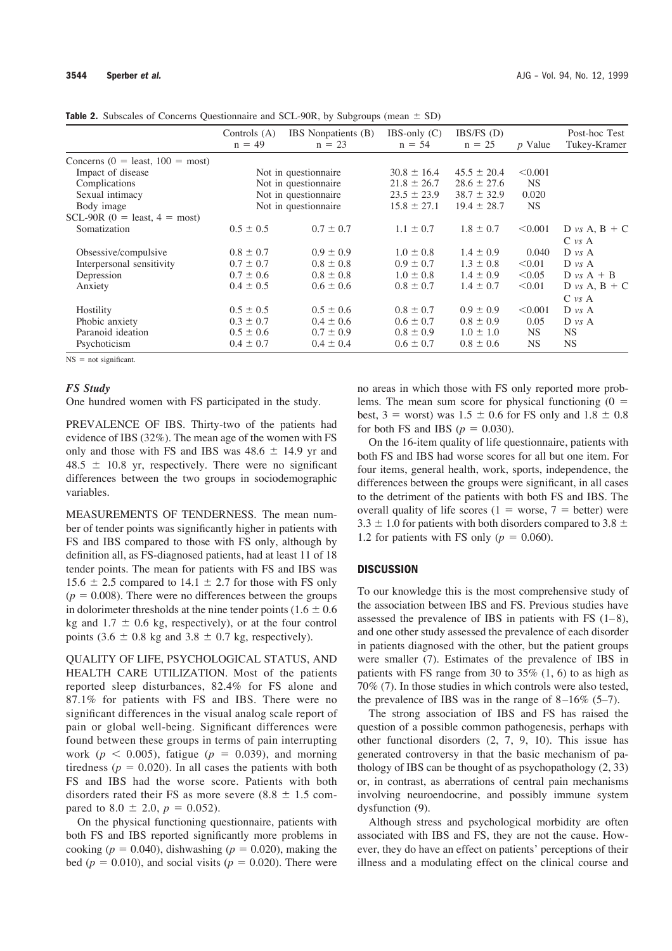|  |  |  |  |  |  | <b>Table 2.</b> Subscales of Concerns Questionnaire and SCL-90R, by Subgroups (mean $\pm$ SD) |
|--|--|--|--|--|--|-----------------------------------------------------------------------------------------------|
|--|--|--|--|--|--|-----------------------------------------------------------------------------------------------|

|                                      | Controls (A)<br>$n = 49$ | IBS Nonpatients (B)<br>$n = 23$ | $IBS-only (C)$<br>$n = 54$ | $IBS/FS$ (D)<br>$n = 25$ | <i>p</i> Value | Post-hoc Test<br>Tukey-Kramer |
|--------------------------------------|--------------------------|---------------------------------|----------------------------|--------------------------|----------------|-------------------------------|
| Concerns $(0 =$ least, $100 =$ most) |                          |                                 |                            |                          |                |                               |
| Impact of disease                    |                          | Not in questionnaire            | $30.8 \pm 16.4$            | $45.5 \pm 20.4$          | < 0.001        |                               |
| Complications                        | Not in questionnaire     |                                 | $21.8 \pm 26.7$            | $28.6 \pm 27.6$          | <b>NS</b>      |                               |
| Sexual intimacy                      | Not in questionnaire     |                                 | $23.5 \pm 23.9$            | $38.7 \pm 32.9$          | 0.020          |                               |
| Body image                           | Not in questionnaire     |                                 | $15.8 \pm 27.1$            | $19.4 \pm 28.7$          | <b>NS</b>      |                               |
| $SCL-90R$ (0 = least, 4 = most)      |                          |                                 |                            |                          |                |                               |
| Somatization                         | $0.5 \pm 0.5$            | $0.7 \pm 0.7$                   | $1.1 \pm 0.7$              | $1.8 \pm 0.7$            | < 0.001        | D vs A, $B + C$               |
|                                      |                          |                                 |                            |                          |                | $C$ vs $A$                    |
| Obsessive/compulsive                 | $0.8 \pm 0.7$            | $0.9 \pm 0.9$                   | $1.0 \pm 0.8$              | $1.4 \pm 0.9$            | 0.040          | $D$ vs $A$                    |
| Interpersonal sensitivity            | $0.7 \pm 0.7$            | $0.8 \pm 0.8$                   | $0.9 \pm 0.7$              | $1.3 \pm 0.8$            | < 0.01         | $D$ vs $A$                    |
| Depression                           | $0.7 \pm 0.6$            | $0.8 \pm 0.8$                   | $1.0 \pm 0.8$              | $1.4 \pm 0.9$            | < 0.05         | $D vs A + B$                  |
| Anxiety                              | $0.4 \pm 0.5$            | $0.6 \pm 0.6$                   | $0.8 \pm 0.7$              | $1.4 \pm 0.7$            | < 0.01         | D vs A, $B + C$               |
|                                      |                          |                                 |                            |                          |                | $C$ vs A                      |
| Hostility                            | $0.5 \pm 0.5$            | $0.5 \pm 0.6$                   | $0.8 \pm 0.7$              | $0.9 \pm 0.9$            | < 0.001        | $D$ vs A                      |
| Phobic anxiety                       | $0.3 \pm 0.7$            | $0.4 \pm 0.6$                   | $0.6 \pm 0.7$              | $0.8 \pm 0.9$            | 0.05           | $D$ vs $A$                    |
| Paranoid ideation                    | $0.5 \pm 0.6$            | $0.7 \pm 0.9$                   | $0.8 \pm 0.9$              | $1.0 \pm 1.0$            | <b>NS</b>      | NS.                           |
| Psychoticism                         | $0.4 \pm 0.7$            | $0.4 \pm 0.4$                   | $0.6 \pm 0.7$              | $0.8 \pm 0.6$            | <b>NS</b>      | <b>NS</b>                     |
|                                      |                          |                                 |                            |                          |                |                               |

 $NS = not significant$ 

#### *FS Study*

One hundred women with FS participated in the study.

PREVALENCE OF IBS. Thirty-two of the patients had evidence of IBS (32%). The mean age of the women with FS only and those with FS and IBS was  $48.6 \pm 14.9$  yr and  $48.5 \pm 10.8$  yr, respectively. There were no significant differences between the two groups in sociodemographic variables.

MEASUREMENTS OF TENDERNESS. The mean number of tender points was significantly higher in patients with FS and IBS compared to those with FS only, although by definition all, as FS-diagnosed patients, had at least 11 of 18 tender points. The mean for patients with FS and IBS was 15.6  $\pm$  2.5 compared to 14.1  $\pm$  2.7 for those with FS only  $(p = 0.008)$ . There were no differences between the groups in dolorimeter thresholds at the nine tender points ( $1.6 \pm 0.6$ ) kg and  $1.7 \pm 0.6$  kg, respectively), or at the four control points (3.6  $\pm$  0.8 kg and 3.8  $\pm$  0.7 kg, respectively).

QUALITY OF LIFE, PSYCHOLOGICAL STATUS, AND HEALTH CARE UTILIZATION. Most of the patients reported sleep disturbances, 82.4% for FS alone and 87.1% for patients with FS and IBS. There were no significant differences in the visual analog scale report of pain or global well-being. Significant differences were found between these groups in terms of pain interrupting work ( $p < 0.005$ ), fatigue ( $p = 0.039$ ), and morning tiredness ( $p = 0.020$ ). In all cases the patients with both FS and IBS had the worse score. Patients with both disorders rated their FS as more severe (8.8  $\pm$  1.5 compared to 8.0  $\pm$  2.0,  $p = 0.052$ ).

On the physical functioning questionnaire, patients with both FS and IBS reported significantly more problems in cooking ( $p = 0.040$ ), dishwashing ( $p = 0.020$ ), making the bed ( $p = 0.010$ ), and social visits ( $p = 0.020$ ). There were no areas in which those with FS only reported more problems. The mean sum score for physical functioning  $(0 =$ best,  $3 =$  worst) was  $1.5 \pm 0.6$  for FS only and  $1.8 \pm 0.8$ for both FS and IBS  $(p = 0.030)$ .

On the 16-item quality of life questionnaire, patients with both FS and IBS had worse scores for all but one item. For four items, general health, work, sports, independence, the differences between the groups were significant, in all cases to the detriment of the patients with both FS and IBS. The overall quality of life scores ( $1 =$  worse,  $7 =$  better) were  $3.3 \pm 1.0$  for patients with both disorders compared to  $3.8 \pm 1.0$ 1.2 for patients with FS only  $(p = 0.060)$ .

#### **DISCUSSION**

To our knowledge this is the most comprehensive study of the association between IBS and FS. Previous studies have assessed the prevalence of IBS in patients with FS  $(1-8)$ , and one other study assessed the prevalence of each disorder in patients diagnosed with the other, but the patient groups were smaller (7). Estimates of the prevalence of IBS in patients with FS range from 30 to 35% (1, 6) to as high as 70% (7). In those studies in which controls were also tested, the prevalence of IBS was in the range of  $8-16\%$  (5–7).

The strong association of IBS and FS has raised the question of a possible common pathogenesis, perhaps with other functional disorders (2, 7, 9, 10). This issue has generated controversy in that the basic mechanism of pathology of IBS can be thought of as psychopathology (2, 33) or, in contrast, as aberrations of central pain mechanisms involving neuroendocrine, and possibly immune system dysfunction (9).

Although stress and psychological morbidity are often associated with IBS and FS, they are not the cause. However, they do have an effect on patients' perceptions of their illness and a modulating effect on the clinical course and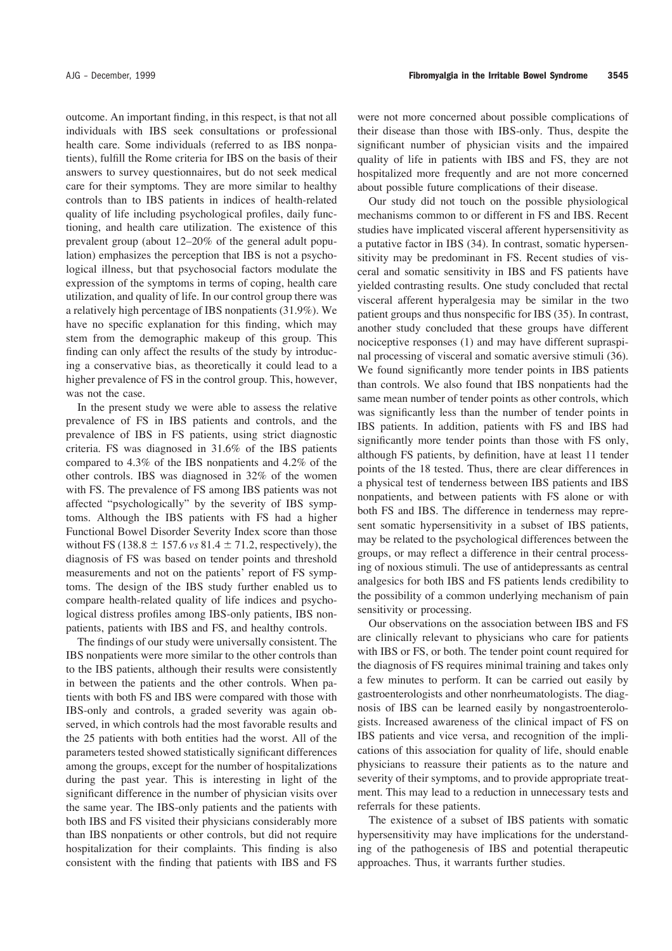outcome. An important finding, in this respect, is that not all individuals with IBS seek consultations or professional health care. Some individuals (referred to as IBS nonpatients), fulfill the Rome criteria for IBS on the basis of their answers to survey questionnaires, but do not seek medical care for their symptoms. They are more similar to healthy controls than to IBS patients in indices of health-related quality of life including psychological profiles, daily functioning, and health care utilization. The existence of this prevalent group (about 12–20% of the general adult population) emphasizes the perception that IBS is not a psychological illness, but that psychosocial factors modulate the expression of the symptoms in terms of coping, health care utilization, and quality of life. In our control group there was a relatively high percentage of IBS nonpatients (31.9%). We have no specific explanation for this finding, which may stem from the demographic makeup of this group. This finding can only affect the results of the study by introducing a conservative bias, as theoretically it could lead to a higher prevalence of FS in the control group. This, however, was not the case.

In the present study we were able to assess the relative prevalence of FS in IBS patients and controls, and the prevalence of IBS in FS patients, using strict diagnostic criteria. FS was diagnosed in 31.6% of the IBS patients compared to 4.3% of the IBS nonpatients and 4.2% of the other controls. IBS was diagnosed in 32% of the women with FS. The prevalence of FS among IBS patients was not affected "psychologically" by the severity of IBS symptoms. Although the IBS patients with FS had a higher Functional Bowel Disorder Severity Index score than those without FS (138.8  $\pm$  157.6 *vs* 81.4  $\pm$  71.2, respectively), the diagnosis of FS was based on tender points and threshold measurements and not on the patients' report of FS symptoms. The design of the IBS study further enabled us to compare health-related quality of life indices and psychological distress profiles among IBS-only patients, IBS nonpatients, patients with IBS and FS, and healthy controls.

The findings of our study were universally consistent. The IBS nonpatients were more similar to the other controls than to the IBS patients, although their results were consistently in between the patients and the other controls. When patients with both FS and IBS were compared with those with IBS-only and controls, a graded severity was again observed, in which controls had the most favorable results and the 25 patients with both entities had the worst. All of the parameters tested showed statistically significant differences among the groups, except for the number of hospitalizations during the past year. This is interesting in light of the significant difference in the number of physician visits over the same year. The IBS-only patients and the patients with both IBS and FS visited their physicians considerably more than IBS nonpatients or other controls, but did not require hospitalization for their complaints. This finding is also consistent with the finding that patients with IBS and FS

were not more concerned about possible complications of their disease than those with IBS-only. Thus, despite the significant number of physician visits and the impaired quality of life in patients with IBS and FS, they are not hospitalized more frequently and are not more concerned about possible future complications of their disease.

Our study did not touch on the possible physiological mechanisms common to or different in FS and IBS. Recent studies have implicated visceral afferent hypersensitivity as a putative factor in IBS (34). In contrast, somatic hypersensitivity may be predominant in FS. Recent studies of visceral and somatic sensitivity in IBS and FS patients have yielded contrasting results. One study concluded that rectal visceral afferent hyperalgesia may be similar in the two patient groups and thus nonspecific for IBS (35). In contrast, another study concluded that these groups have different nociceptive responses (1) and may have different supraspinal processing of visceral and somatic aversive stimuli (36). We found significantly more tender points in IBS patients than controls. We also found that IBS nonpatients had the same mean number of tender points as other controls, which was significantly less than the number of tender points in IBS patients. In addition, patients with FS and IBS had significantly more tender points than those with FS only, although FS patients, by definition, have at least 11 tender points of the 18 tested. Thus, there are clear differences in a physical test of tenderness between IBS patients and IBS nonpatients, and between patients with FS alone or with both FS and IBS. The difference in tenderness may represent somatic hypersensitivity in a subset of IBS patients, may be related to the psychological differences between the groups, or may reflect a difference in their central processing of noxious stimuli. The use of antidepressants as central analgesics for both IBS and FS patients lends credibility to the possibility of a common underlying mechanism of pain sensitivity or processing.

Our observations on the association between IBS and FS are clinically relevant to physicians who care for patients with IBS or FS, or both. The tender point count required for the diagnosis of FS requires minimal training and takes only a few minutes to perform. It can be carried out easily by gastroenterologists and other nonrheumatologists. The diagnosis of IBS can be learned easily by nongastroenterologists. Increased awareness of the clinical impact of FS on IBS patients and vice versa, and recognition of the implications of this association for quality of life, should enable physicians to reassure their patients as to the nature and severity of their symptoms, and to provide appropriate treatment. This may lead to a reduction in unnecessary tests and referrals for these patients.

The existence of a subset of IBS patients with somatic hypersensitivity may have implications for the understanding of the pathogenesis of IBS and potential therapeutic approaches. Thus, it warrants further studies.